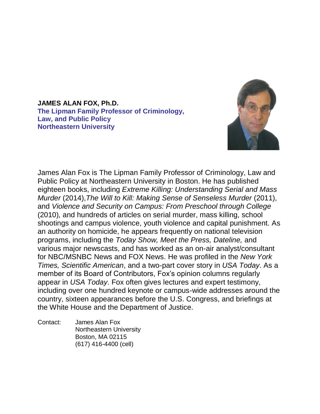**JAMES ALAN FOX, Ph.D. The Lipman Family Professor of Criminology, Law, and Public Policy Northeastern University**



James Alan Fox is The Lipman Family Professor of Criminology, Law and Public Policy at Northeastern University in Boston. He has published eighteen books, including *Extreme Killing: Understanding Serial and Mass Murder* (2014),*The Will to Kill: Making Sense of Senseless Murder* (2011), and *Violence and Security on Campus: From Preschool through College*  (2010)*,* and hundreds of articles on serial murder, mass killing, school shootings and campus violence, youth violence and capital punishment. As an authority on homicide, he appears frequently on national television programs, including the *Today Show, Meet the Press, Dateline,* and various major newscasts, and has worked as an on-air analyst/consultant for NBC/MSNBC News and FOX News. He was profiled in the *New York Times, Scientific American*, and a two-part cover story in *USA Today*. As a member of its Board of Contributors, Fox's opinion columns regularly appear in *USA Today*. Fox often gives lectures and expert testimony, including over one hundred keynote or campus-wide addresses around the country, sixteen appearances before the U.S. Congress, and briefings at the White House and the Department of Justice.

Contact: James Alan Fox Northeastern University Boston, MA 02115 (617) 416-4400 (cell)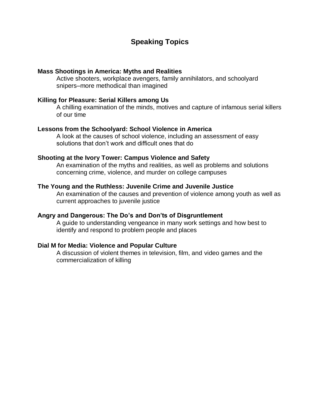# **Speaking Topics**

#### **Mass Shootings in America: Myths and Realities**

Active shooters, workplace avengers, family annihilators, and schoolyard snipers–more methodical than imagined

### **Killing for Pleasure: Serial Killers among Us**

A chilling examination of the minds, motives and capture of infamous serial killers of our time

### **Lessons from the Schoolyard: School Violence in America**

A look at the causes of school violence, including an assessment of easy solutions that don't work and difficult ones that do

### **Shooting at the Ivory Tower: Campus Violence and Safety**

An examination of the myths and realities, as well as problems and solutions concerning crime, violence, and murder on college campuses

#### **The Young and the Ruthless: Juvenile Crime and Juvenile Justice**

An examination of the causes and prevention of violence among youth as well as current approaches to juvenile justice

### **Angry and Dangerous: The Do's and Don'ts of Disgruntlement**

A guide to understanding vengeance in many work settings and how best to identify and respond to problem people and places

## **Dial M for Media: Violence and Popular Culture**

A discussion of violent themes in television, film, and video games and the commercialization of killing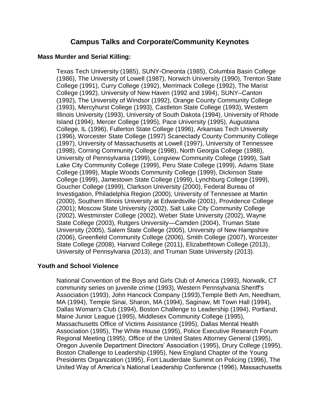# **Campus Talks and Corporate/Community Keynotes**

### **Mass Murder and Serial Killing:**

Texas Tech University (1985), SUNY-Oneonta (1985), Columbia Basin College (1986), The University of Lowell (1987), Norwich University (1990), Trenton State College (1991), Curry College (1992), Merrimack College (1992), The Marist College (1992), University of New Haven (1992 and 1994), SUNY–Canton (1992), The University of Windsor (1992), Orange County Community College (1993), Mercyhurst College (1993), Castleton State College (1993), Western Illinois University (1993), University of South Dakota (1994), University of Rhode Island (1994), Mercer College (1995), Pace University (1995), Augustana College, IL (1996), Fullerton State College (1996), Arkansas Tech University (1996), Worcester State College (1997) Scanectady County Community College (1997), University of Massachusetts at Lowell (1997), University of Tennessee (1998), Corning Community College (1998), North Georgia College (1988), University of Pennsylvania (1999), Longview Community College (1999), Salt Lake City Community College (1999), Peru State College (1999), Adams State College (1999), Maple Woods Community College (1999), Dickinson State College (1999), Jamestown State College (1999), Lynchburg College (1999), Goucher College (1999), Clarkson University (2000), Federal Bureau of Investigation, Philadelphia Region (2000), University of Tennessee at Martin (2000), Southern Illinois University at Edwardsville (2001), Providence College (2001); Moscow State University (2002), Salt Lake City Community College (2002), Westminster College (2002), Weber State University (2002), Wayne State College (2003), Rutgers University—Camden (2004), Truman State University (2005), Salem State College (2005), University of New Hampshire (2006), Greenfield Community College (2006), Smith College (2007), Worcester State College (2008), Harvard College (2011), Elizabethtown College (2013), University of Pennsylvania (2013), and Truman State University (2013).

## **Youth and School Violence**

National Convention of the Boys and Girls Club of America (1993), Norwalk, CT community series on juvenile crime (1993), Western Pennsylvania Sheriff's Association (1993), John Hancock Company (1993),Temple Beth Am, Needham, MA (1994), Temple Sinai, Sharon, MA (1994), Saginaw, MI Town Hall (1994), Dallas Woman's Club (1994), Boston Challenge to Leadership (1994), Portland, Maine Junior League (1995), Middlesex Community College (1995), Massachusetts Office of Victims Assistance (1995), Dallas Mental Health Association (1995), The White House (1995), Police Executive Research Forum Regional Meeting (1995), Office of the United States Attorney General (1995), Oregon Juvenile Department Directors' Association (1995), Drury College (1995), Boston Challenge to Leadership (1995), New England Chapter of the Young Presidents Organization (1995), Fort Lauderdale Summit on Policing (1996), The United Way of America's National Leadership Conference (1996), Massachusetts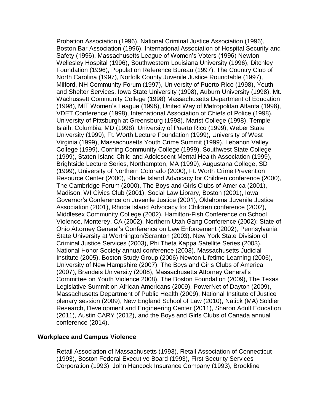Probation Association (1996), National Criminal Justice Association (1996), Boston Bar Association (1996), International Association of Hospital Security and Safety (1996), Massachusetts League of Women's Voters (1996) Newton-Wellesley Hospital (1996), Southwestern Louisiana University (1996), Ditchley Foundation (1996), Population Reference Bureau (1997), The Country Club of North Carolina (1997), Norfolk County Juvenile Justice Roundtable (1997), Milford, NH Community Forum (1997), University of Puerto Rico (1998), Youth and Shelter Services, Iowa State University (1998), Auburn University (1998), Mt. Wachussett Community College (1998) Massachusetts Department of Education (1998), MIT Women's League (1998), United Way of Metropolitan Atlanta (1998), VDET Conference (1998), International Association of Chiefs of Police (1998), University of Pittsburgh at Greensburg (1998), Marist College (1998), Temple Isiaih, Columbia, MD (1998), University of Puerto Rico (1999), Weber State University (1999), Ft. Worth Lecture Foundation (1999), University of West Virginia (1999), Massachusetts Youth Crime Summit (1999), Lebanon Valley College (1999), Corning Community College (1999), Southwest State College (1999), Staten Island Child and Adolescent Mental Health Association (1999), Brightside Lecture Series, Northampton, MA (1999), Augustana College, SD (1999), University of Northern Colorado (2000), Ft. Worth Crime Prevention Resource Center (2000), Rhode Island Advocacy for Children conference (2000), The Cambridge Forum (2000), The Boys and Girls Clubs of America (2001), Madison, WI Civics Club (2001), Social Law Library, Boston (2001), Iowa Governor's Conference on Juvenile Justice (2001), Oklahoma Juvenile Justice Association (2001), Rhode Island Advocacy for Children conference (2002), Middlesex Community College (2002), Hamilton-Fish Conference on School Violence, Monterey, CA (2002), Northern Utah Gang Conference (2002); State of Ohio Attorney General's Conference on Law Enforcement (2002), Pennsylvania State University at Worthington/Scranton (2003). New York State Division of Criminal Justice Services (2003), Phi Theta Kappa Satellite Series (2003), National Honor Society annual conference (2003), Massachusetts Judicial Institute (2005), Boston Study Group (2006) Newton Lifetime Learning (2006), University of New Hampshire (2007), The Boys and Girls Clubs of America (2007), Brandeis University (2008), Massachusetts Attorney General's Committee on Youth Violence 2008), The Boston Foundation (2009), The Texas Legislative Summit on African Americans (2009), PowerNet of Dayton (2009), Massachusetts Department of Public Health (2009), National Institute of Justice plenary session (2009), New England School of Law (2010), Natick (MA) Soldier Research, Development and Engineering Center (2011), Sharon Adult Education (2011), Austin CARY (2012), and the Boys and Girls Clubs of Canada annual conference (2014).

#### **Workplace and Campus Violence**

Retail Association of Massachusetts (1993), Retail Association of Connecticut (1993), Boston Federal Executive Board (1993), First Security Services Corporation (1993), John Hancock Insurance Company (1993), Brookline